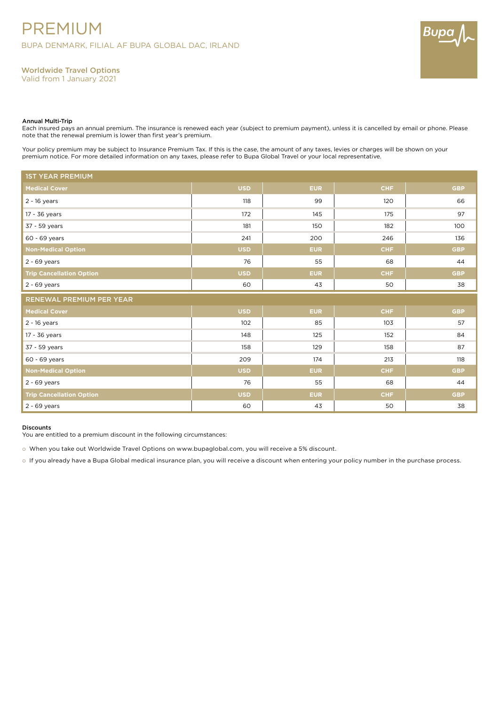

# Worldwide Travel Options

Valid from 1 January 2021

### Annual Multi-Trip

Each insured pays an annual premium. The insurance is renewed each year (subject to premium payment), unless it is cancelled by email or phone. Please note that the renewal premium is lower than first year's premium.

Your policy premium may be subject to Insurance Premium Tax. If this is the case, the amount of any taxes, levies or charges will be shown on your premium notice. For more detailed information on any taxes, please refer to Bupa Global Travel or your local representative.

| <b>1ST YEAR PREMIUM</b>         |            |            |                          |            |  |  |  |  |  |
|---------------------------------|------------|------------|--------------------------|------------|--|--|--|--|--|
| <b>Medical Cover</b>            | <b>USD</b> | <b>EUR</b> | CHF                      | <b>GBP</b> |  |  |  |  |  |
| $2 - 16$ years                  | 118        | 99         | 120                      | 66         |  |  |  |  |  |
| 17 - 36 years                   | 172        | 145        | 175                      | 97         |  |  |  |  |  |
| 37 - 59 years                   | 181        | 150        | 182                      | 100        |  |  |  |  |  |
| 60 - 69 years                   | 241        | 200        | 246                      | 136        |  |  |  |  |  |
| <b>Non-Medical Option</b>       | <b>USD</b> | <b>EUR</b> | <b>CHF</b>               | <b>GBP</b> |  |  |  |  |  |
| $2 - 69$ years                  | 76         | 55         | 68                       | 44         |  |  |  |  |  |
| <b>Trip Cancellation Option</b> | <b>USD</b> | <b>EUR</b> | <b>CHF</b>               | <b>GBP</b> |  |  |  |  |  |
| $2 - 69$ years                  | 60         | 43         | 50                       | 38         |  |  |  |  |  |
|                                 |            |            | RENEWAL PREMIUM PER YEAR |            |  |  |  |  |  |
|                                 |            |            |                          |            |  |  |  |  |  |
| <b>Medical Cover</b>            | <b>USD</b> | <b>EUR</b> | <b>CHF</b>               | <b>GBP</b> |  |  |  |  |  |
| $2 - 16$ years                  | 102        | 85         | 103                      | 57         |  |  |  |  |  |
| 17 - 36 years                   | 148        | 125        | 152                      | 84         |  |  |  |  |  |
| 37 - 59 years                   | 158        | 129        | 158                      | 87         |  |  |  |  |  |
| 60 - 69 years                   | 209        | 174        | 213                      | 118        |  |  |  |  |  |
| <b>Non-Medical Option</b>       | <b>USD</b> | <b>EUR</b> | CHF                      | <b>GBP</b> |  |  |  |  |  |
| $2 - 69$ years                  | 76         | 55         | 68                       | 44         |  |  |  |  |  |
| <b>Trip Cancellation Option</b> | <b>USD</b> | <b>EUR</b> | <b>CHF</b>               | <b>GBP</b> |  |  |  |  |  |

### Discounts

You are entitled to a premium discount in the following circumstances:

o When you take out Worldwide Travel Options on www.bupaglobal.com, you will receive a 5% discount.

o If you already have a Bupa Global medical insurance plan, you will receive a discount when entering your policy number in the purchase process.